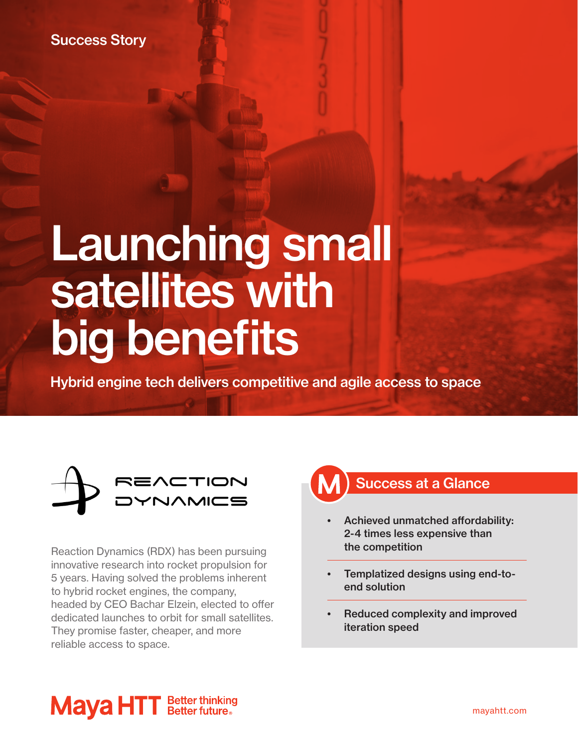Success Story

# Launching small satellites with big benefits

Hybrid engine tech delivers competitive and agile access to space



Reaction Dynamics (RDX) has been pursuing innovative research into rocket propulsion for 5 years. Having solved the problems inherent to hybrid rocket engines, the company, headed by CEO Bachar Elzein, elected to offer dedicated launches to orbit for small satellites. They promise faster, cheaper, and more reliable access to space.



- Achieved unmatched affordability: 2-4 times less expensive than the competition
- Templatized designs using end-toend solution
- Reduced complexity and improved iteration speed

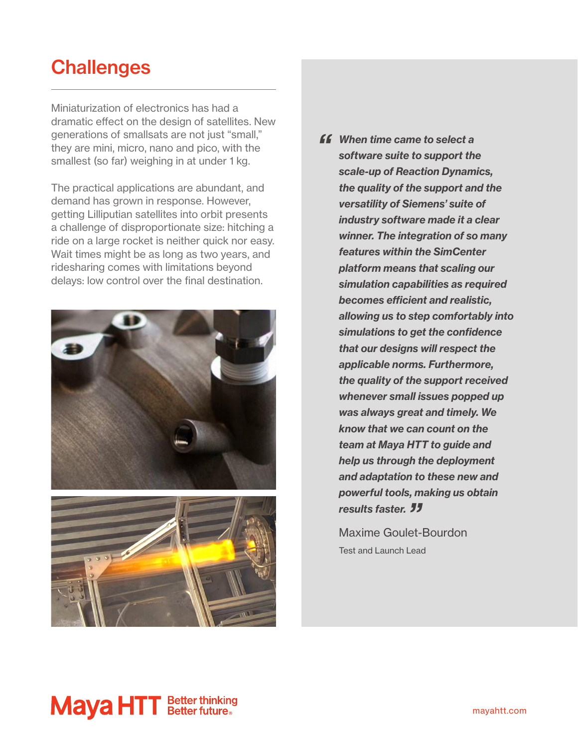#### **Challenges**

Miniaturization of electronics has had a dramatic effect on the design of satellites. New generations of smallsats are not just "small," they are mini, micro, nano and pico, with the smallest (so far) weighing in at under 1 kg.

The practical applications are abundant, and demand has grown in response. However, getting Lilliputian satellites into orbit presents a challenge of disproportionate size: hitching a ride on a large rocket is neither quick nor easy. Wait times might be as long as two years, and ridesharing comes with limitations beyond delays: low control over the final destination.





*ff* When time came to select a *software suite to support the scale-up of Reaction Dynamics, the quality of the support and the versatility of Siemens' suite of industry software made it a clear winner. The integration of so many features within the SimCenter platform means that scaling our simulation capabilities as required becomes efficient and realistic, allowing us to step comfortably into simulations to get the confidence that our designs will respect the applicable norms. Furthermore, the quality of the support received whenever small issues popped up was always great and timely. We know that we can count on the team at Maya HTT to guide and help us through the deployment and adaptation to these new and powerful tools, making us obtain results faster. 77*<br>Maxima Gaulat

Maxime Goulet-Bourdon Test and Launch Lead

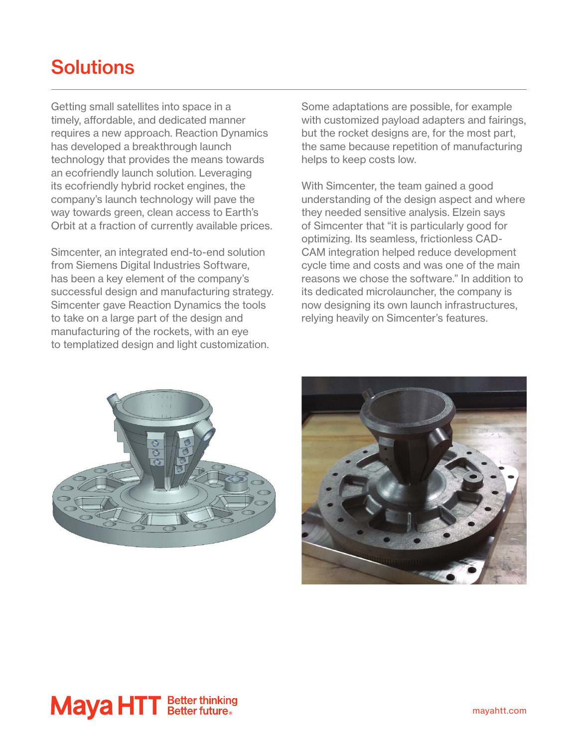### **Solutions**

Getting small satellites into space in a timely, affordable, and dedicated manner requires a new approach. Reaction Dynamics has developed a breakthrough launch technology that provides the means towards an ecofriendly launch solution. Leveraging its ecofriendly hybrid rocket engines, the company's launch technology will pave the way towards green, clean access to Earth's Orbit at a fraction of currently available prices.

Simcenter, an integrated end-to-end solution from Siemens Digital Industries Software, has been a key element of the company's successful design and manufacturing strategy. Simcenter gave Reaction Dynamics the tools to take on a large part of the design and manufacturing of the rockets, with an eye to templatized design and light customization.

Some adaptations are possible, for example with customized payload adapters and fairings, but the rocket designs are, for the most part, the same because repetition of manufacturing helps to keep costs low.

With Simcenter, the team gained a good understanding of the design aspect and where they needed sensitive analysis. Elzein says of Simcenter that "it is particularly good for optimizing. Its seamless, frictionless CAD-CAM integration helped reduce development cycle time and costs and was one of the main reasons we chose the software." In addition to its dedicated microlauncher, the company is now designing its own launch infrastructures, relying heavily on Simcenter's features.





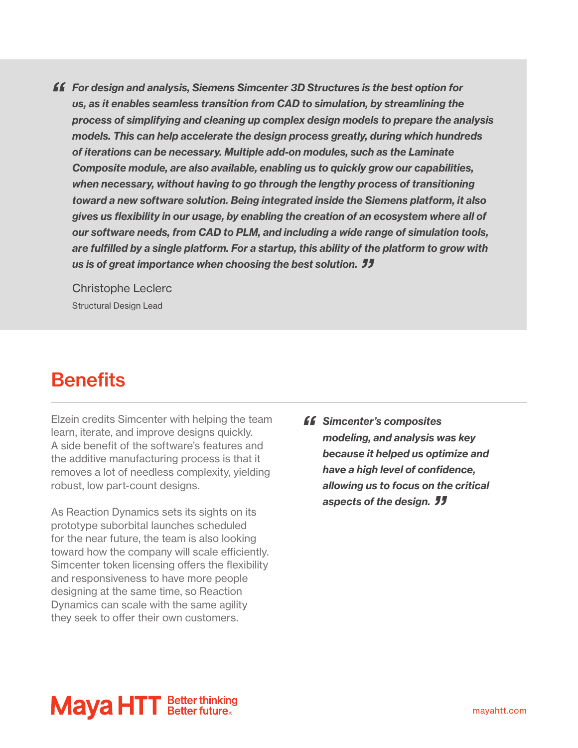*"  For design and analysis, Siemens Simcenter 3D Structures is the best option for us, as it enables seamless transition from CAD to simulation, by streamlining the process of simplifying and cleaning up complex design models to prepare the analysis models. This can help accelerate the design process greatly, during which hundreds of iterations can be necessary. Multiple add-on modules, such as the Laminate Composite module, are also available, enabling us to quickly grow our capabilities, when necessary, without having to go through the lengthy process of transitioning toward a new software solution. Being integrated inside the Siemens platform, it also gives us flexibility in our usage, by enabling the creation of an ecosystem where all of our software needs, from CAD to PLM, and including a wide range of simulation tools, are fulfilled by a single platform. For a startup, this ability of the platform to grow with*  us is of great importance when choosing the best solution. *"*<br>Christanha Laglare

Christophe Leclerc Structural Design Lead

### **Benefits**

Elzein credits Simcenter with helping the team learn, iterate, and improve designs quickly. A side benefit of the software's features and the additive manufacturing process is that it removes a lot of needless complexity, yielding robust, low part-count designs.

As Reaction Dynamics sets its sights on its prototype suborbital launches scheduled for the near future, the team is also looking toward how the company will scale efficiently. Simcenter token licensing offers the flexibility and responsiveness to have more people designing at the same time, so Reaction Dynamics can scale with the same agility they seek to offer their own customers.

*ff* Simcenter's composites *modeling, and analysis was key because it helped us optimize and have a high level of confidence, allowing us to focus on the critical*  aspects of the design. <sup>11</sup>